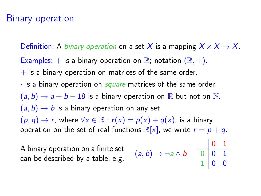## Binary operation

Definition: A binary operation on a set X is a mapping  $X \times X \rightarrow X$ . Examples:  $+$  is a binary operation on  $\mathbb{R}$ ; notation  $(\mathbb{R}, +)$ .  $+$  is a binary operation on matrices of the same order.  $\cdot$  is a binary operation on square matrices of the same order.  $(a, b) \rightarrow a + b - 18$  is a binary operation on  $\mathbb R$  but not on  $\mathbb N$ .  $(a, b) \rightarrow b$  is a binary operation on any set.  $(p, q) \rightarrow r$ , where  $\forall x \in \mathbb{R} : r(x) = p(x) + q(x)$ , is a binary operation on the set of real functions  $\mathbb{R}[x]$ , we write  $r = p + q$ .

A binary operation on a finite set  $\frac{1}{2}$  can be described by a table, e.g.  $\frac{1}{2}$ 

$$
b, b) \rightarrow \neg a \wedge b \qquad 0 \qquad 0 \qquad 1
$$

 $\begin{array}{cc} \n\end{array}$  0 1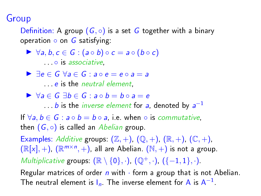## Group

Definition: A group  $(G, \circ)$  is a set G together with a binary operation  $\circ$  on  $G$  satisfying:

 $\triangleright \forall a, b, c \in G : (a \circ b) \circ c = a \circ (b \circ c)$ **e** is *associative*,

- $\triangleright$   $\exists e \in G \ \forall a \in G : a \circ e = e \circ a = a$ 
	- **...** e is the *neutral element*.
- $\triangleright \forall a \in G \exists b \in G : a \circ b = b \circ a = e$

 $\ldots$  b is the *inverse element* for a, denoted by  $a^{-1}$ 

If  $\forall a, b \in G : a \circ b = b \circ a$ , i.e. when  $\circ$  is commutative, then  $(G, \circ)$  is called an Abelian group.

Examples: Additive groups:  $(\mathbb{Z}, +)$ ,  $(\mathbb{Q}, +)$ ,  $(\mathbb{R}, +)$ ,  $(\mathbb{C}, +)$ ,  $(\mathbb{R}[x], +)$ ,  $(\mathbb{R}^{m \times n}, +)$ , all are Abelian.  $(\mathbb{N}, +)$  is not a group. Multiplicative groups:  $(\mathbb{R} \setminus \{0\}, \cdot)$ ,  $(\mathbb{Q}^+, \cdot)$ ,  $(\{-1, 1\}, \cdot)$ .

Regular matrices of order  $n$  with  $\cdot$  form a group that is not Abelian. The neutral element is  $I_n$ . The inverse element for A is  $A^{-1}$ .